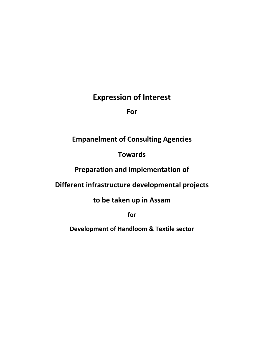# **Expression of Interest**

**For**

# **Empanelment of Consulting Agencies**

# **Towards**

# **Preparation and implementation of**

# **Different infrastructure developmental projects**

**to be taken up in Assam**

**for**

**Development of Handloom & Textile sector**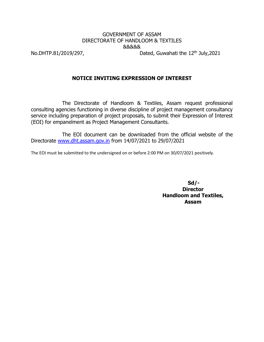## GOVERNMENT OF ASSAM DIRECTORATE OF HANDLOOM & TEXTILES &&&&&

No.DHTP.81/2019/297, Dated, Guwahati the  $12<sup>th</sup>$  July, 2021

### **NOTICE INVITING EXPRESSION OF INTEREST**

The Directorate of Handloom & Textiles, Assam request professional consulting agencies functioning in diverse discipline of project management consultancy service including preparation of project proposals, to submit their Expression of Interest (EOI) for empanelment as Project Management Consultants.

The EOI document can be downloaded from the official website of the Directorate [www.dht.assam.gov.in](http://www.dht.assam.gov.in/) from 14/07/2021 to 29/07/2021

The EOI must be submitted to the undersigned on or before 2:00 PM on 30/07/2021 positively.

**Sd/- Director Handloom and Textiles, Assam**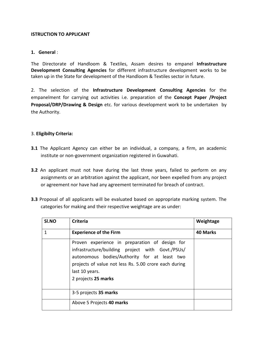### **ISTRUCTION TO APPLICANT**

### **1. General** :

The Directorate of Handloom & Textiles, Assam desires to empanel **Infrastructure Development Consulting Agencies** for different infrastructure development works to be taken up in the State for development of the Handloom & Textiles sector in future.

2. The selection of the **Infrastructure Development Consulting Agencies** for the empanelment for carrying out activities i.e. preparation of the **Concept Paper /Project Proposal/DRP/Drawing & Design** etc. for various development work to be undertaken by the Authority.

#### 3. **Eligibilty Criteria:**

- **3.1** The Applicant Agency can either be an individual, a company, a firm, an academic institute or non-government organization registered in Guwahati.
- **3.2** An applicant must not have during the last three years, failed to perform on any assignments or an arbitration against the applicant, nor been expelled from any project or agreement nor have had any agreement terminated for breach of contract.
- **3.3** Proposal of all applicants will be evaluated based on appropriate marking system. The categories for making and their respective weightage are as under:

| SI.NO | <b>Criteria</b>                                                                                                                                                                                                                                      | Weightage |
|-------|------------------------------------------------------------------------------------------------------------------------------------------------------------------------------------------------------------------------------------------------------|-----------|
| 1     | <b>Experience of the Firm</b>                                                                                                                                                                                                                        | 40 Marks  |
|       | Proven experience in preparation of design for<br>infrastructure/building project with Govt./PSUs/<br>autonomous bodies/Authority for at least two<br>projects of value not less Rs. 5.00 crore each during<br>last 10 years.<br>2 projects 25 marks |           |
|       | 3-5 projects 35 marks                                                                                                                                                                                                                                |           |
|       | Above 5 Projects 40 marks                                                                                                                                                                                                                            |           |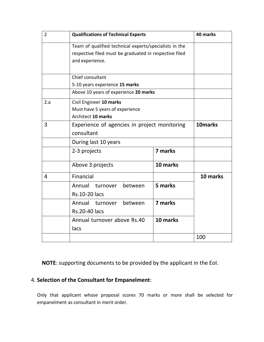| $\overline{2}$ | <b>Qualifications of Technical Experts</b>             | 40 marks |          |
|----------------|--------------------------------------------------------|----------|----------|
|                | Team of qualified technical experts/specialists in the |          |          |
|                | respective filed must be graduated in respective filed |          |          |
|                | and experience.                                        |          |          |
|                |                                                        |          |          |
|                | Chief consultant                                       |          |          |
|                | 5-10 years experience 15 marks                         |          |          |
|                | Above 10 years of experience 20 marks                  |          |          |
| 2.a            | Civil Engineer 10 marks                                |          |          |
|                | Must have 5 years of experience                        |          |          |
|                | <b>Architect 10 marks</b>                              |          |          |
| 3              | Experience of agencies in project monitoring           | 10marks  |          |
|                | consultant                                             |          |          |
|                | During last 10 years                                   |          |          |
|                | 7 marks<br>2-3 projects                                |          |          |
|                | Above 3 projects                                       | 10 marks |          |
| 4              | Financial                                              |          | 10 marks |
|                | Annual<br>between<br>turnover                          | 5 marks  |          |
|                | <b>Rs.10-20 lacs</b>                                   |          |          |
|                | Annual turnover<br>between                             | 7 marks  |          |
|                | <b>Rs.20-40 lacs</b>                                   |          |          |
|                | Annual turnover above Rs.40                            | 10 marks |          |
|                | lacs                                                   |          |          |
|                |                                                        | 100      |          |

**NOTE**: supporting documents to be provided by the applicant in the EoI.

# 4. **Selection of the Consultant for Empanelment**:

Only that applicant whose proposal scores 70 marks or more shall be selected for empanelment as consultant in merit order.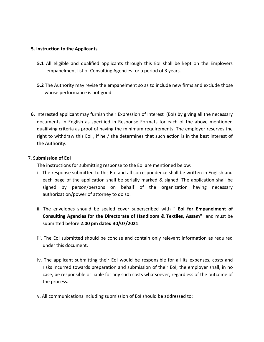### **5. Instruction to the Applicants**

- **5.1** All eligible and qualified applicants through this EoI shall be kept on the Employers empanelment list of Consulting Agencies for a period of 3 years.
- **5.2** The Authority may revise the empanelment so as to include new firms and exclude those whose performance is not good.
- **6**. Interested applicant may furnish their Expression of Interest (EoI) by giving all the necessary documents in English as specified in Response Formats for each of the above mentioned qualifying criteria as proof of having the minimum requirements. The employer reserves the right to withdraw this EoI , if he / she determines that such action is in the best interest of the Authority.

#### 7. S**ubmission of EoI**

The instructions for submitting response to the EoI are mentioned below:

- i. The response submitted to this EoI and all correspondence shall be written in English and each page of the application shall be serially marked & signed. The application shall be signed by person/persons on behalf of the organization having necessary authorization/power of attorney to do so.
- ii. The envelopes should be sealed cover superscribed with " **EoI for Empanelment of Consulting Agencies for the Directorate of Handloom & Textiles, Assam"** and must be submitted before **2.00 pm dated 30/07/2021**.
- iii. The EoI submitted should be concise and contain only relevant information as required under this document.
- iv. The applicant submitting their EoI would be responsible for all its expenses, costs and risks incurred towards preparation and submission of their EoI, the employer shall, in no case, be responsible or liable for any such costs whatsoever, regardless of the outcome of the process.
- v. All communications including submission of EoI should be addressed to: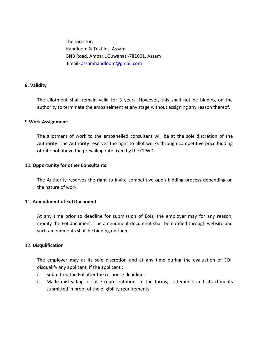The Director, Handloom & Textiles, Assam GNB Road, Ambari,,Guwahati-781001, Assam Email- [assamhandloom@gmail.com](mailto:assamhandloom@gmail.com)

#### **8. Validity**

The allotment shall remain valid for 3 years. However, this shall not be binding on the authority to terminate the empanelment at any stage without assigning any reason thereof.

#### 9**.Work Assignment:**

The allotment of work to the empanelled consultant will be at the sole discretion of the Authority. The Authority reserves the right to allot works through competitive price bidding of rate not above the prevailing rate fixed by the CPWD.

#### 10. **Opportunity for other Consultants:**

The Authority reserves the right to invite competitive open bidding process depending on the nature of work.

#### 11. **Amendment of EoI Document**

At any time prior to deadline for submission of EoIs, the employer may for any reason, modify the EoI document. The amendment document shall be notified through website and such amendments shall be binding on them.

#### 12. **Disqulification**

The employer may at its sole discretion and at any time during the evaluation of EOI, disqualify any applicant, if the applicant :

- i. Submitted the EoI after the response deadline;
- ii. Made misleading or false representations in the forms, statements and attachments submitted in proof of the eligibility requirements;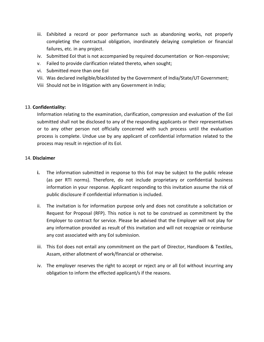- iii. Exhibited a record or poor performance such as abandoning works, not properly completing the contractual obligation, inordinately delaying completion or financial failures, etc. in any project.
- iv. Submitted EoI that is not accompanied by required documentation or Non-responsive;
- v. Failed to provide clarification related thereto, when sought;
- vi. Submitted more than one EoI
- Vii. Was declared ineligible/blacklisted by the Government of India/State/UT Government;
- Viii Should not be in litigation with any Government in India;

#### 13. **Confidentiality:**

Information relating to the examination, clarification, compression and evaluation of the EoI submitted shall not be disclosed to any of the responding applicants or their representatives or to any other person not officially concerned with such process until the evaluation process is complete. Undue use by any applicant of confidential information related to the process may result in rejection of its EoI.

#### 14. **Disclaimer**

- **i.** The information submitted in response to this EoI may be subject to the public release (as per RTI norms). Therefore, do not include proprietary or confidential business information in your response. Applicant responding to this invitation assume the risk of public disclosure if confidential information is included.
- ii. The invitation is for information purpose only and does not constitute a solicitation or Request for Proposal (RFP). This notice is not to be construed as commitment by the Employer to contract for service. Please be advised that the Employer will not play for any information provided as result of this invitation and will not recognize or reimburse any cost associated with any EoI submission.
- iii. This EoI does not entail any commitment on the part of Director, Handloom & Textiles, Assam, either allotment of work/financial or otherwise.
- iv. The employer reserves the right to accept or reject any or all EoI without incurring any obligation to inform the effected applicant/s if the reasons.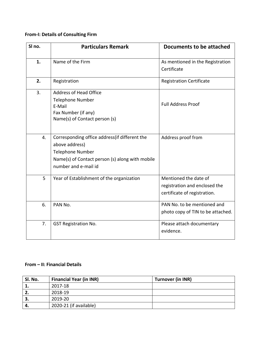## **From-I: Details of Consulting Firm**

| SI no. | <b>Particulars Remark</b>                                                                                                                                              | Documents to be attached                                                               |  |
|--------|------------------------------------------------------------------------------------------------------------------------------------------------------------------------|----------------------------------------------------------------------------------------|--|
| 1.     | Name of the Firm                                                                                                                                                       | As mentioned in the Registration<br>Certificate                                        |  |
| 2.     | Registration                                                                                                                                                           | <b>Registration Certificate</b>                                                        |  |
| 3.     | <b>Address of Head Office</b><br>Telephone Number<br>E-Mail<br>Fax Number (if any)<br>Name(s) of Contact person (s)                                                    | <b>Full Address Proof</b>                                                              |  |
| 4.     | Corresponding office address (if different the<br>above address)<br><b>Telephone Number</b><br>Name(s) of Contact person (s) along with mobile<br>number and e-mail id | Address proof from                                                                     |  |
| 5      | Year of Establishment of the organization                                                                                                                              | Mentioned the date of<br>registration and enclosed the<br>certificate of registration. |  |
| 6.     | PAN No.                                                                                                                                                                | PAN No. to be mentioned and<br>photo copy of TIN to be attached.                       |  |
| 7.     | <b>GST Registration No.</b>                                                                                                                                            | Please attach documentary<br>evidence.                                                 |  |

## **From – II: Financial Details**

| Sl. No. | <b>Financial Year (in INR)</b> | <b>Turnover (in INR)</b> |
|---------|--------------------------------|--------------------------|
| д.      | 2017-18                        |                          |
| 2.      | 2018-19                        |                          |
| З.      | 2019-20                        |                          |
| 4.      | 2020-21 (if available)         |                          |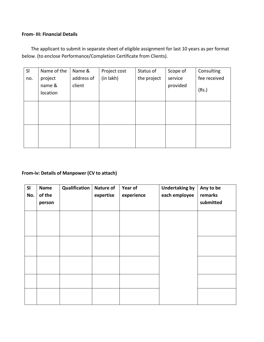### **From- III: Financial Details**

The applicant to submit in separate sheet of eligible assignment for last 10 years as per format below. (to enclose Performance/Completion Certificate from Clients).

| SI  | Name of the        | Name &     | Project cost | Status of   | Scope of | Consulting   |
|-----|--------------------|------------|--------------|-------------|----------|--------------|
| no. | project            | address of | (in lakh)    | the project | service  | fee received |
|     | name &<br>location | client     |              |             | provided | (Rs.)        |
|     |                    |            |              |             |          |              |
|     |                    |            |              |             |          |              |
|     |                    |            |              |             |          |              |
|     |                    |            |              |             |          |              |
|     |                    |            |              |             |          |              |

### **From-iv: Details of Manpower (CV to attach)**

| SI<br>No. | <b>Name</b><br>of the<br>person | Qualification | <b>Nature of</b><br>expertise | Year of<br>experience | <b>Undertaking by</b><br>each employee | Any to be<br>remarks<br>submitted |
|-----------|---------------------------------|---------------|-------------------------------|-----------------------|----------------------------------------|-----------------------------------|
|           |                                 |               |                               |                       |                                        |                                   |
|           |                                 |               |                               |                       |                                        |                                   |
|           |                                 |               |                               |                       |                                        |                                   |
|           |                                 |               |                               |                       |                                        |                                   |
|           |                                 |               |                               |                       |                                        |                                   |